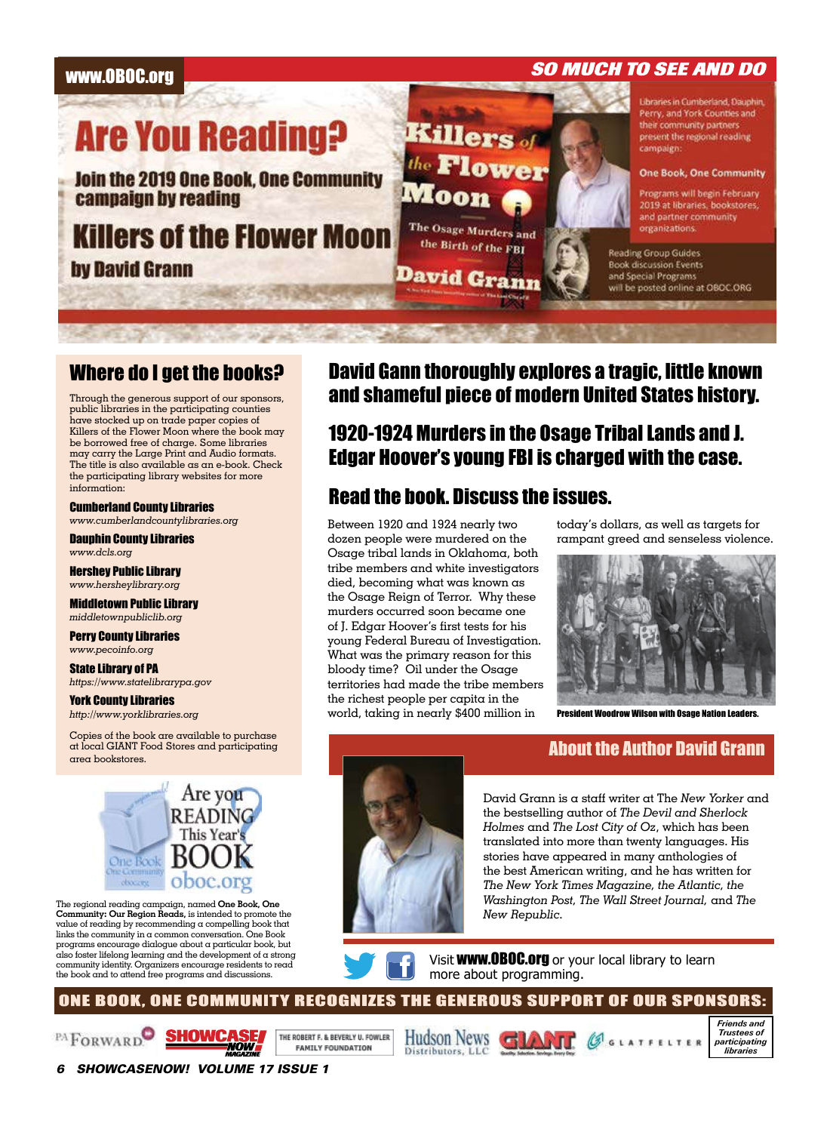

## Where do I get the books?

Through the generous support of our sponsors, public libraries in the participating counties have stocked up on trade paper copies of Killers of the Flower Moon where the book may be borrowed free of charge. Some libraries may carry the Large Print and Audio formats. The title is also available as an e-book. Check the participating library websites for more information:

Cumberland County Libraries www.cumberlandcountylibraries.org

Dauphin County Libraries www.dcls.org

Hershey Public Library www.hersheylibrary.org

Middletown Public Library middletownpubliclib.org

Perry County Libraries www.pecoinfo.org

State Library of PA https://www.statelibrarypa.gov

York County Libraries http://www.yorklibraries.org

Copies of the book are available to purchase at local GIANT Food Stores and participating area bookstores.



The regional reading campaign, named One Book, One Community: Our Region Reads, is intended to promote the value of reading by recommending  $\alpha$  compelling book that links the community in a common conversation. One Book programs encourage dialogue about a particular book, but also foster lifelong learning and the development of a strong community identity. Organizers encourage residents to read the book and to attend free programs and discussions.

## David Gann thoroughly explores a tragic, little known and shameful piece of modern United States history.

# 1920-1924 Murders in the Osage Tribal Lands and J. Edgar Hoover's young FBI is charged with the case.

# Read the book. Discuss the issues.

Between 1920 and 1924 nearly two dozen people were murdered on the Osage tribal lands in Oklahoma, both tribe members and white investigators died, becoming what was known as the Osage Reign of Terror. Why these murders occurred soon became one of J. Edgar Hoover's first tests for his young Federal Bureau of Investigation. What was the primary reason for this bloody time? Oil under the Osage territories had made the tribe members the richest people per capita in the world, taking in nearly \$400 million in

today's dollars, as well as targets for rampant greed and senseless violence.



President Woodrow Wilson with Osage Nation Leaders.

## About the Author David Grann



Visit **WWW.OBOC.org** or your local library to learn more about programming.

ONE BOOK, ONE COMMUNITY RECOGNIZES THE GENEROUS SUPPORT OF OUR SPONSORS:





THE ROBERT F. & BEVERLY U. FOWLER **FAMILY FOUNDATION** 





6 SHOWCASENOW! VOLUME 17 ISSUE 1